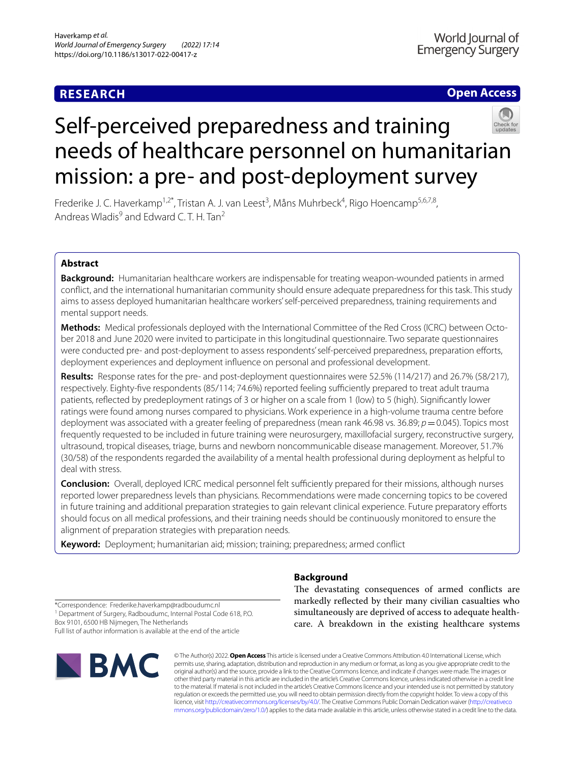# **RESEARCH**

# **Open Access**



# Self-perceived preparedness and training needs of healthcare personnel on humanitarian mission: a pre- and post-deployment survey

Frederike J. C. Haverkamp<sup>1,2\*</sup>, Tristan A. J. van Leest<sup>3</sup>, Måns Muhrbeck<sup>4</sup>, Rigo Hoencamp<sup>5,6,7,8</sup>, Andreas Wladis<sup>9</sup> and Edward C. T. H. Tan<sup>2</sup>

# **Abstract**

**Background:** Humanitarian healthcare workers are indispensable for treating weapon-wounded patients in armed confict, and the international humanitarian community should ensure adequate preparedness for this task. This study aims to assess deployed humanitarian healthcare workers' self-perceived preparedness, training requirements and mental support needs.

**Methods:** Medical professionals deployed with the International Committee of the Red Cross (ICRC) between October 2018 and June 2020 were invited to participate in this longitudinal questionnaire. Two separate questionnaires were conducted pre- and post-deployment to assess respondents' self-perceived preparedness, preparation eforts, deployment experiences and deployment infuence on personal and professional development.

**Results:** Response rates for the pre- and post-deployment questionnaires were 52.5% (114/217) and 26.7% (58/217), respectively. Eighty-five respondents (85/114; 74.6%) reported feeling sufficiently prepared to treat adult trauma patients, refected by predeployment ratings of 3 or higher on a scale from 1 (low) to 5 (high). Signifcantly lower ratings were found among nurses compared to physicians. Work experience in a high-volume trauma centre before deployment was associated with a greater feeling of preparedness (mean rank 46.98 vs. 36.89; *p*=0.045). Topics most frequently requested to be included in future training were neurosurgery, maxillofacial surgery, reconstructive surgery, ultrasound, tropical diseases, triage, burns and newborn noncommunicable disease management. Moreover, 51.7% (30/58) of the respondents regarded the availability of a mental health professional during deployment as helpful to deal with stress.

**Conclusion:** Overall, deployed ICRC medical personnel felt sufficiently prepared for their missions, although nurses reported lower preparedness levels than physicians. Recommendations were made concerning topics to be covered in future training and additional preparation strategies to gain relevant clinical experience. Future preparatory eforts should focus on all medical professions, and their training needs should be continuously monitored to ensure the alignment of preparation strategies with preparation needs.

**Keyword:** Deployment; humanitarian aid; mission; training; preparedness; armed confict

# **Background**

The devastating consequences of armed conflicts are markedly refected by their many civilian casualties who simultaneously are deprived of access to adequate healthcare. A breakdown in the existing healthcare systems

\*Correspondence: Frederike.haverkamp@radboudumc.nl <sup>1</sup> Department of Surgery, Radboudumc, Internal Postal Code 618, P.O.

Box 9101, 6500 HB Nijmegen, The Netherlands

Full list of author information is available at the end of the article



© The Author(s) 2022. **Open Access** This article is licensed under a Creative Commons Attribution 4.0 International License, which permits use, sharing, adaptation, distribution and reproduction in any medium or format, as long as you give appropriate credit to the original author(s) and the source, provide a link to the Creative Commons licence, and indicate if changes were made. The images or other third party material in this article are included in the article's Creative Commons licence, unless indicated otherwise in a credit line to the material. If material is not included in the article's Creative Commons licence and your intended use is not permitted by statutory regulation or exceeds the permitted use, you will need to obtain permission directly from the copyright holder. To view a copy of this licence, visit [http://creativecommons.org/licenses/by/4.0/.](http://creativecommons.org/licenses/by/4.0/) The Creative Commons Public Domain Dedication waiver ([http://creativeco](http://creativecommons.org/publicdomain/zero/1.0/) [mmons.org/publicdomain/zero/1.0/](http://creativecommons.org/publicdomain/zero/1.0/)) applies to the data made available in this article, unless otherwise stated in a credit line to the data.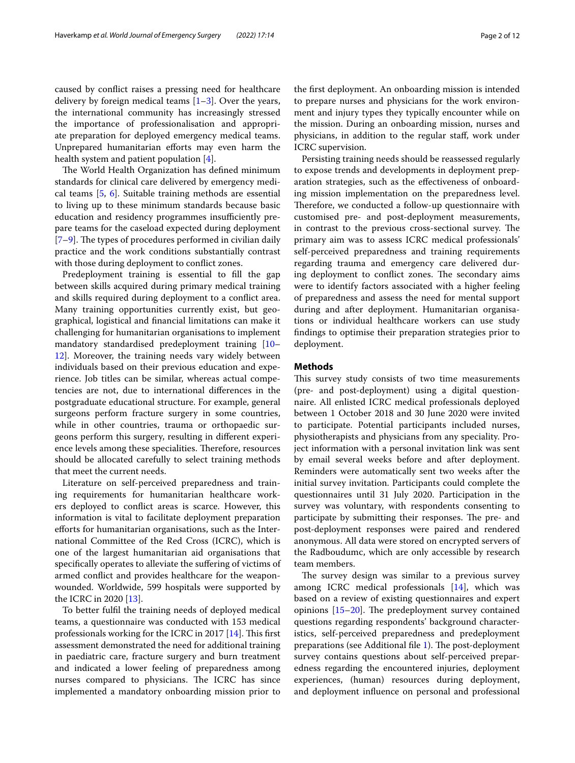caused by confict raises a pressing need for healthcare delivery by foreign medical teams  $[1-3]$  $[1-3]$ . Over the years, the international community has increasingly stressed the importance of professionalisation and appropriate preparation for deployed emergency medical teams. Unprepared humanitarian efforts may even harm the health system and patient population [\[4](#page-10-2)].

The World Health Organization has defined minimum standards for clinical care delivered by emergency medical teams [[5,](#page-10-3) [6\]](#page-10-4). Suitable training methods are essential to living up to these minimum standards because basic education and residency programmes insufficiently prepare teams for the caseload expected during deployment  $[7-9]$  $[7-9]$ . The types of procedures performed in civilian daily practice and the work conditions substantially contrast with those during deployment to confict zones.

Predeployment training is essential to fill the gap between skills acquired during primary medical training and skills required during deployment to a confict area. Many training opportunities currently exist, but geographical, logistical and fnancial limitations can make it challenging for humanitarian organisations to implement mandatory standardised predeployment training [[10–](#page-10-7) [12\]](#page-10-8). Moreover, the training needs vary widely between individuals based on their previous education and experience. Job titles can be similar, whereas actual competencies are not, due to international diferences in the postgraduate educational structure. For example, general surgeons perform fracture surgery in some countries, while in other countries, trauma or orthopaedic surgeons perform this surgery, resulting in diferent experience levels among these specialities. Therefore, resources should be allocated carefully to select training methods that meet the current needs.

Literature on self-perceived preparedness and training requirements for humanitarian healthcare workers deployed to confict areas is scarce. However, this information is vital to facilitate deployment preparation efforts for humanitarian organisations, such as the International Committee of the Red Cross (ICRC), which is one of the largest humanitarian aid organisations that specifcally operates to alleviate the sufering of victims of armed confict and provides healthcare for the weaponwounded. Worldwide, 599 hospitals were supported by the ICRC in 2020 [[13\]](#page-10-9).

To better fulfl the training needs of deployed medical teams, a questionnaire was conducted with 153 medical professionals working for the ICRC in 2017  $[14]$  $[14]$ . This first assessment demonstrated the need for additional training in paediatric care, fracture surgery and burn treatment and indicated a lower feeling of preparedness among nurses compared to physicians. The ICRC has since implemented a mandatory onboarding mission prior to the frst deployment. An onboarding mission is intended to prepare nurses and physicians for the work environment and injury types they typically encounter while on the mission. During an onboarding mission, nurses and physicians, in addition to the regular staf, work under ICRC supervision.

Persisting training needs should be reassessed regularly to expose trends and developments in deployment preparation strategies, such as the efectiveness of onboarding mission implementation on the preparedness level. Therefore, we conducted a follow-up questionnaire with customised pre- and post-deployment measurements, in contrast to the previous cross-sectional survey. The primary aim was to assess ICRC medical professionals' self-perceived preparedness and training requirements regarding trauma and emergency care delivered during deployment to conflict zones. The secondary aims were to identify factors associated with a higher feeling of preparedness and assess the need for mental support during and after deployment. Humanitarian organisations or individual healthcare workers can use study fndings to optimise their preparation strategies prior to deployment.

# **Methods**

This survey study consists of two time measurements (pre- and post-deployment) using a digital questionnaire. All enlisted ICRC medical professionals deployed between 1 October 2018 and 30 June 2020 were invited to participate. Potential participants included nurses, physiotherapists and physicians from any speciality. Project information with a personal invitation link was sent by email several weeks before and after deployment. Reminders were automatically sent two weeks after the initial survey invitation. Participants could complete the questionnaires until 31 July 2020. Participation in the survey was voluntary, with respondents consenting to participate by submitting their responses. The pre- and post-deployment responses were paired and rendered anonymous. All data were stored on encrypted servers of the Radboudumc, which are only accessible by research team members.

The survey design was similar to a previous survey among ICRC medical professionals [\[14](#page-10-10)], which was based on a review of existing questionnaires and expert opinions  $[15–20]$  $[15–20]$ . The predeployment survey contained questions regarding respondents' background characteristics, self-perceived preparedness and predeployment preparations (see Additional file [1](#page-9-0)). The post-deployment survey contains questions about self-perceived preparedness regarding the encountered injuries, deployment experiences, (human) resources during deployment, and deployment infuence on personal and professional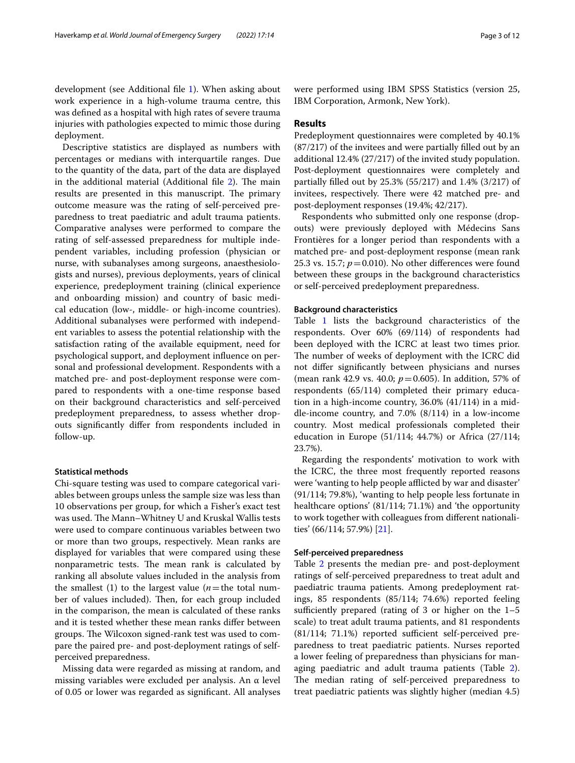development (see Additional fle [1](#page-9-0)). When asking about work experience in a high-volume trauma centre, this was defned as a hospital with high rates of severe trauma injuries with pathologies expected to mimic those during deployment.

Descriptive statistics are displayed as numbers with percentages or medians with interquartile ranges. Due to the quantity of the data, part of the data are displayed in the additional material (Additional file  $2$ ). The main results are presented in this manuscript. The primary outcome measure was the rating of self-perceived preparedness to treat paediatric and adult trauma patients. Comparative analyses were performed to compare the rating of self-assessed preparedness for multiple independent variables, including profession (physician or nurse, with subanalyses among surgeons, anaesthesiologists and nurses), previous deployments, years of clinical experience, predeployment training (clinical experience and onboarding mission) and country of basic medical education (low-, middle- or high-income countries). Additional subanalyses were performed with independent variables to assess the potential relationship with the satisfaction rating of the available equipment, need for psychological support, and deployment infuence on personal and professional development. Respondents with a matched pre- and post-deployment response were compared to respondents with a one-time response based on their background characteristics and self-perceived predeployment preparedness, to assess whether dropouts signifcantly difer from respondents included in follow-up.

#### **Statistical methods**

Chi-square testing was used to compare categorical variables between groups unless the sample size was less than 10 observations per group, for which a Fisher's exact test was used. The Mann–Whitney U and Kruskal Wallis tests were used to compare continuous variables between two or more than two groups, respectively. Mean ranks are displayed for variables that were compared using these nonparametric tests. The mean rank is calculated by ranking all absolute values included in the analysis from the smallest (1) to the largest value  $(n =$  the total number of values included). Then, for each group included in the comparison, the mean is calculated of these ranks and it is tested whether these mean ranks difer between groups. The Wilcoxon signed-rank test was used to compare the paired pre- and post-deployment ratings of selfperceived preparedness.

Missing data were regarded as missing at random, and missing variables were excluded per analysis. An  $\alpha$  level of 0.05 or lower was regarded as signifcant. All analyses were performed using IBM SPSS Statistics (version 25, IBM Corporation, Armonk, New York).

# **Results**

Predeployment questionnaires were completed by 40.1% (87/217) of the invitees and were partially flled out by an additional 12.4% (27/217) of the invited study population. Post-deployment questionnaires were completely and partially flled out by 25.3% (55/217) and 1.4% (3/217) of invitees, respectively. There were 42 matched pre- and post-deployment responses (19.4%; 42/217).

Respondents who submitted only one response (dropouts) were previously deployed with Médecins Sans Frontières for a longer period than respondents with a matched pre- and post-deployment response (mean rank 25.3 vs. 15.7;  $p = 0.010$ ). No other differences were found between these groups in the background characteristics or self-perceived predeployment preparedness.

## **Background characteristics**

Table [1](#page-3-0) lists the background characteristics of the respondents. Over 60% (69/114) of respondents had been deployed with the ICRC at least two times prior. The number of weeks of deployment with the ICRC did not difer signifcantly between physicians and nurses (mean rank 42.9 vs. 40.0; *p*=0.605). In addition, 57% of respondents (65/114) completed their primary education in a high-income country, 36.0% (41/114) in a middle-income country, and 7.0% (8/114) in a low-income country. Most medical professionals completed their education in Europe (51/114; 44.7%) or Africa (27/114; 23.7%).

Regarding the respondents' motivation to work with the ICRC, the three most frequently reported reasons were 'wanting to help people afflicted by war and disaster' (91/114; 79.8%), 'wanting to help people less fortunate in healthcare options' (81/114; 71.1%) and 'the opportunity to work together with colleagues from diferent nationalities' (66/114; 57.9%) [[21\]](#page-10-13).

# **Self‑perceived preparedness**

Table [2](#page-4-0) presents the median pre- and post-deployment ratings of self-perceived preparedness to treat adult and paediatric trauma patients. Among predeployment ratings, 85 respondents (85/114; 74.6%) reported feeling sufficiently prepared (rating of 3 or higher on the  $1-5$ scale) to treat adult trauma patients, and 81 respondents  $(81/114; 71.1%)$  reported sufficient self-perceived preparedness to treat paediatric patients. Nurses reported a lower feeling of preparedness than physicians for managing paediatric and adult trauma patients (Table [2](#page-4-0)). The median rating of self-perceived preparedness to treat paediatric patients was slightly higher (median 4.5)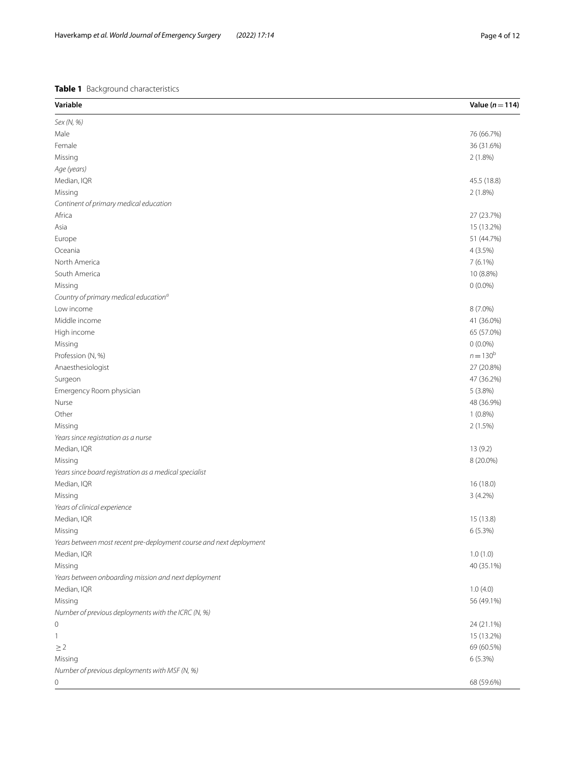<span id="page-3-0"></span>

| Variable                                                            | Value ( $n = 114$ ) |
|---------------------------------------------------------------------|---------------------|
| Sex (N, %)                                                          |                     |
| Male                                                                | 76 (66.7%)          |
| Female                                                              | 36 (31.6%)          |
| Missing                                                             | 2(1.8%)             |
| Age (years)                                                         |                     |
| Median, IQR                                                         | 45.5 (18.8)         |
| Missing                                                             | 2(1.8%)             |
| Continent of primary medical education                              |                     |
| Africa                                                              | 27 (23.7%)          |
| Asia                                                                | 15 (13.2%)          |
| Europe                                                              | 51 (44.7%)          |
| Oceania                                                             | $4(3.5\%)$          |
| North America                                                       | $7(6.1\%)$          |
| South America                                                       | 10 (8.8%)           |
| Missing                                                             | $0(0.0\%)$          |
| Country of primary medical education <sup>a</sup>                   |                     |
| Low income                                                          | 8 (7.0%)            |
| Middle income                                                       | 41 (36.0%)          |
| High income                                                         | 65 (57.0%)          |
| Missing                                                             | $0(0.0\%)$          |
| Profession (N, %)                                                   | $n = 130^{b}$       |
| Anaesthesiologist                                                   | 27 (20.8%)          |
| Surgeon                                                             | 47 (36.2%)          |
| Emergency Room physician                                            | 5(3.8%)             |
| Nurse                                                               | 48 (36.9%)          |
| Other                                                               | $1(0.8\%)$          |
| Missing                                                             | 2(1.5%)             |
| Years since registration as a nurse                                 |                     |
| Median, IQR                                                         | 13 (9.2)            |
| Missing                                                             | 8 (20.0%)           |
| Years since board registration as a medical specialist              |                     |
| Median, IQR                                                         | 16(18.0)            |
| Missing                                                             | $3(4.2\%)$          |
| Years of clinical experience                                        |                     |
| Median, IQR                                                         | 15 (13.8)           |
| Missing                                                             | 6 (5.3%)            |
| Years between most recent pre-deployment course and next deployment |                     |
| Median, IQR                                                         | 1.0(1.0)            |
| Missing                                                             | 40 (35.1%)          |
| Years between onboarding mission and next deployment                |                     |
| Median, IQR                                                         | 1.0(4.0)            |
| Missing                                                             | 56 (49.1%)          |
| Number of previous deployments with the ICRC (N, %)                 |                     |
| 0                                                                   | 24 (21.1%)          |
| 1                                                                   | 15 (13.2%)          |
| $\geq$ 2                                                            | 69 (60.5%)          |
| Missing                                                             | 6(5.3%)             |
| Number of previous deployments with MSF (N, %)                      |                     |
| 0                                                                   | 68 (59.6%)          |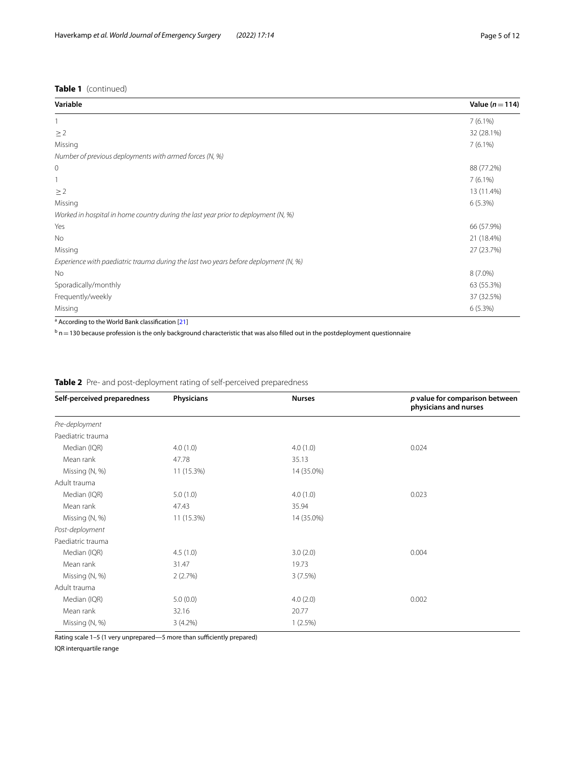**Table 1** (continued)

| Variable                                                                             | Value ( $n = 114$ ) |
|--------------------------------------------------------------------------------------|---------------------|
|                                                                                      | $7(6.1\%)$          |
| $\geq$ 2                                                                             | 32 (28.1%)          |
| Missing                                                                              | $7(6.1\%)$          |
| Number of previous deployments with armed forces (N, %)                              |                     |
| $\overline{0}$                                                                       | 88 (77.2%)          |
|                                                                                      | $7(6.1\%)$          |
| $\geq$ 2                                                                             | 13 (11.4%)          |
| Missing                                                                              | $6(5.3\%)$          |
| Worked in hospital in home country during the last year prior to deployment (N, %)   |                     |
| Yes                                                                                  | 66 (57.9%)          |
| No                                                                                   | 21 (18.4%)          |
| Missing                                                                              | 27 (23.7%)          |
| Experience with paediatric trauma during the last two years before deployment (N, %) |                     |
| No                                                                                   | 8 (7.0%)            |
| Sporadically/monthly                                                                 | 63 (55.3%)          |
| Frequently/weekly                                                                    | 37 (32.5%)          |
| Missing                                                                              | $6(5.3\%)$          |

<sup>a</sup> According to the World Bank classification [[21\]](#page-10-13)

 $^{\rm b}$  n  $=$  130 because profession is the only background characteristic that was also filled out in the postdeployment questionnaire

<span id="page-4-0"></span>

|  |  |  |  | <b>Table 2</b> Pre- and post-deployment rating of self-perceived preparedness |
|--|--|--|--|-------------------------------------------------------------------------------|

| Self-perceived preparedness | Physicians | <b>Nurses</b> | p value for comparison between<br>physicians and nurses |
|-----------------------------|------------|---------------|---------------------------------------------------------|
| Pre-deployment              |            |               |                                                         |
| Paediatric trauma           |            |               |                                                         |
| Median (IQR)                | 4.0(1.0)   | 4.0(1.0)      | 0.024                                                   |
| Mean rank                   | 47.78      | 35.13         |                                                         |
| Missing (N, %)              | 11 (15.3%) | 14 (35.0%)    |                                                         |
| Adult trauma                |            |               |                                                         |
| Median (IQR)                | 5.0(1.0)   | 4.0(1.0)      | 0.023                                                   |
| Mean rank                   | 47.43      | 35.94         |                                                         |
| Missing (N, %)              | 11 (15.3%) | 14 (35.0%)    |                                                         |
| Post-deployment             |            |               |                                                         |
| Paediatric trauma           |            |               |                                                         |
| Median (IQR)                | 4.5(1.0)   | 3.0(2.0)      | 0.004                                                   |
| Mean rank                   | 31.47      | 19.73         |                                                         |
| Missing (N, %)              | 2(2.7%)    | 3(7.5%)       |                                                         |
| Adult trauma                |            |               |                                                         |
| Median (IQR)                | 5.0(0.0)   | 4.0(2.0)      | 0.002                                                   |
| Mean rank                   | 32.16      | 20.77         |                                                         |
| Missing (N, %)              | $3(4.2\%)$ | 1(2.5%)       |                                                         |

Rating scale 1-5 (1 very unprepared—5 more than sufficiently prepared)

IQR interquartile range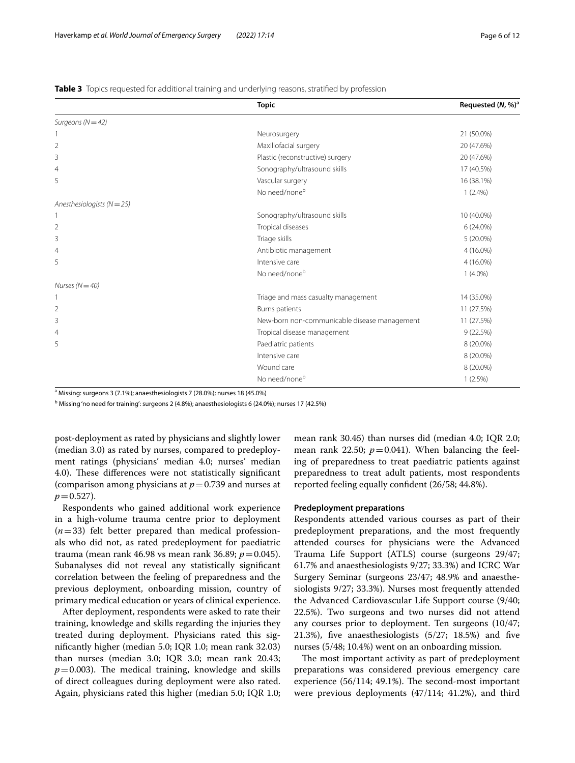<span id="page-5-0"></span>**Table 3** Topics requested for additional training and underlying reasons, stratifed by profession

|                                | <b>Topic</b>                                 | Requested (N, %) <sup>a</sup> |
|--------------------------------|----------------------------------------------|-------------------------------|
| Surgeons ( $N = 42$ )          |                                              |                               |
|                                | Neurosurgery                                 | 21 (50.0%)                    |
| $\overline{2}$                 | Maxillofacial surgery                        | 20 (47.6%)                    |
| 3                              | Plastic (reconstructive) surgery             | 20 (47.6%)                    |
| 4                              | Sonography/ultrasound skills                 | 17 (40.5%)                    |
| 5                              | Vascular surgery                             | 16 (38.1%)                    |
|                                | No need/noneb                                | $1(2.4\%)$                    |
| Anesthesiologists ( $N = 25$ ) |                                              |                               |
|                                | Sonography/ultrasound skills                 | 10 (40.0%)                    |
| 2                              | Tropical diseases                            | $6(24.0\%)$                   |
| 3                              | Triage skills                                | $5(20.0\%)$                   |
| $\overline{4}$                 | Antibiotic management                        | $4(16.0\%)$                   |
| 5                              | Intensive care                               | 4 (16.0%)                     |
|                                | No need/noneb                                | $1(4.0\%)$                    |
| Nurses ( $N = 40$ )            |                                              |                               |
|                                | Triage and mass casualty management          | 14 (35.0%)                    |
| $\overline{2}$                 | Burns patients                               | 11 (27.5%)                    |
| 3                              | New-born non-communicable disease management | 11 (27.5%)                    |
| $\overline{4}$                 | Tropical disease management                  | 9(22.5%)                      |
| 5                              | Paediatric patients                          | 8 (20.0%)                     |
|                                | Intensive care                               | 8 (20.0%)                     |
|                                | Wound care                                   | 8 (20.0%)                     |
|                                | No need/noneb                                | $1(2.5\%)$                    |
|                                |                                              |                               |

<sup>a</sup> Missing: surgeons 3 (7.1%); anaesthesiologists 7 (28.0%); nurses 18 (45.0%)

<sup>b</sup> Missing 'no need for training': surgeons 2 (4.8%); anaesthesiologists 6 (24.0%); nurses 17 (42.5%)

post-deployment as rated by physicians and slightly lower (median 3.0) as rated by nurses, compared to predeployment ratings (physicians' median 4.0; nurses' median 4.0). These differences were not statistically significant (comparison among physicians at  $p=0.739$  and nurses at  $p = 0.527$ ).

Respondents who gained additional work experience in a high-volume trauma centre prior to deployment  $(n=33)$  felt better prepared than medical professionals who did not, as rated predeployment for paediatric trauma (mean rank 46.98 vs mean rank 36.89;  $p = 0.045$ ). Subanalyses did not reveal any statistically signifcant correlation between the feeling of preparedness and the previous deployment, onboarding mission, country of primary medical education or years of clinical experience.

After deployment, respondents were asked to rate their training, knowledge and skills regarding the injuries they treated during deployment. Physicians rated this signifcantly higher (median 5.0; IQR 1.0; mean rank 32.03) than nurses (median 3.0; IQR 3.0; mean rank 20.43;  $p=0.003$ ). The medical training, knowledge and skills of direct colleagues during deployment were also rated. Again, physicians rated this higher (median 5.0; IQR 1.0; mean rank 30.45) than nurses did (median 4.0; IQR 2.0; mean rank 22.50;  $p=0.041$ ). When balancing the feeling of preparedness to treat paediatric patients against preparedness to treat adult patients, most respondents reported feeling equally confdent (26/58; 44.8%).

# **Predeployment preparations**

Respondents attended various courses as part of their predeployment preparations, and the most frequently attended courses for physicians were the Advanced Trauma Life Support (ATLS) course (surgeons 29/47; 61.7% and anaesthesiologists 9/27; 33.3%) and ICRC War Surgery Seminar (surgeons 23/47; 48.9% and anaesthesiologists 9/27; 33.3%). Nurses most frequently attended the Advanced Cardiovascular Life Support course (9/40; 22.5%). Two surgeons and two nurses did not attend any courses prior to deployment. Ten surgeons (10/47; 21.3%), fve anaesthesiologists (5/27; 18.5%) and fve nurses (5/48; 10.4%) went on an onboarding mission.

The most important activity as part of predeployment preparations was considered previous emergency care experience  $(56/114; 49.1\%)$ . The second-most important were previous deployments (47/114; 41.2%), and third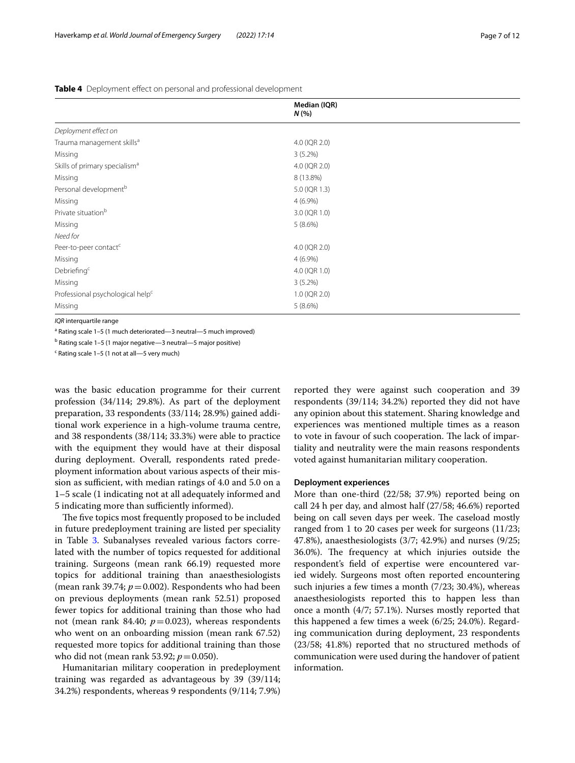<span id="page-6-0"></span>Table 4 Deployment effect on personal and professional development

| Median (IQR)  |
|---------------|
| N(%           |
|               |
|               |
| 4.0 (IQR 2.0) |
| $3(5.2\%)$    |
| 4.0 (IQR 2.0) |
| 8 (13.8%)     |
| 5.0 (IQR 1.3) |
| $4(6.9\%)$    |
| 3.0 (IQR 1.0) |
| 5(8.6%)       |
|               |
| 4.0 (IQR 2.0) |
| $4(6.9\%)$    |
| 4.0 (IQR 1.0) |
| $3(5.2\%)$    |
| 1.0 (IQR 2.0) |
| 5(8.6%)       |
|               |

*IQR* interquartile range

<sup>a</sup> Rating scale 1–5 (1 much deteriorated—3 neutral—5 much improved)

<sup>b</sup> Rating scale 1–5 (1 major negative—3 neutral—5 major positive)

<sup>c</sup> Rating scale 1–5 (1 not at all—5 very much)

was the basic education programme for their current profession (34/114; 29.8%). As part of the deployment preparation, 33 respondents (33/114; 28.9%) gained additional work experience in a high-volume trauma centre, and 38 respondents (38/114; 33.3%) were able to practice with the equipment they would have at their disposal during deployment. Overall, respondents rated predeployment information about various aspects of their mission as sufficient, with median ratings of 4.0 and 5.0 on a 1–5 scale (1 indicating not at all adequately informed and 5 indicating more than sufficiently informed).

The five topics most frequently proposed to be included in future predeployment training are listed per speciality in Table [3](#page-5-0). Subanalyses revealed various factors correlated with the number of topics requested for additional training. Surgeons (mean rank 66.19) requested more topics for additional training than anaesthesiologists (mean rank 39.74;  $p = 0.002$ ). Respondents who had been on previous deployments (mean rank 52.51) proposed fewer topics for additional training than those who had not (mean rank 84.40;  $p = 0.023$ ), whereas respondents who went on an onboarding mission (mean rank 67.52) requested more topics for additional training than those who did not (mean rank 53.92; *p* = 0.050).

Humanitarian military cooperation in predeployment training was regarded as advantageous by 39 (39/114; 34.2%) respondents, whereas 9 respondents (9/114; 7.9%)

reported they were against such cooperation and 39 respondents (39/114; 34.2%) reported they did not have any opinion about this statement. Sharing knowledge and experiences was mentioned multiple times as a reason to vote in favour of such cooperation. The lack of impartiality and neutrality were the main reasons respondents voted against humanitarian military cooperation.

#### **Deployment experiences**

More than one-third (22/58; 37.9%) reported being on call 24 h per day, and almost half (27/58; 46.6%) reported being on call seven days per week. The caseload mostly ranged from 1 to 20 cases per week for surgeons (11/23; 47.8%), anaesthesiologists (3/7; 42.9%) and nurses (9/25; 36.0%). The frequency at which injuries outside the respondent's feld of expertise were encountered varied widely. Surgeons most often reported encountering such injuries a few times a month (7/23; 30.4%), whereas anaesthesiologists reported this to happen less than once a month (4/7; 57.1%). Nurses mostly reported that this happened a few times a week (6/25; 24.0%). Regarding communication during deployment, 23 respondents (23/58; 41.8%) reported that no structured methods of communication were used during the handover of patient information.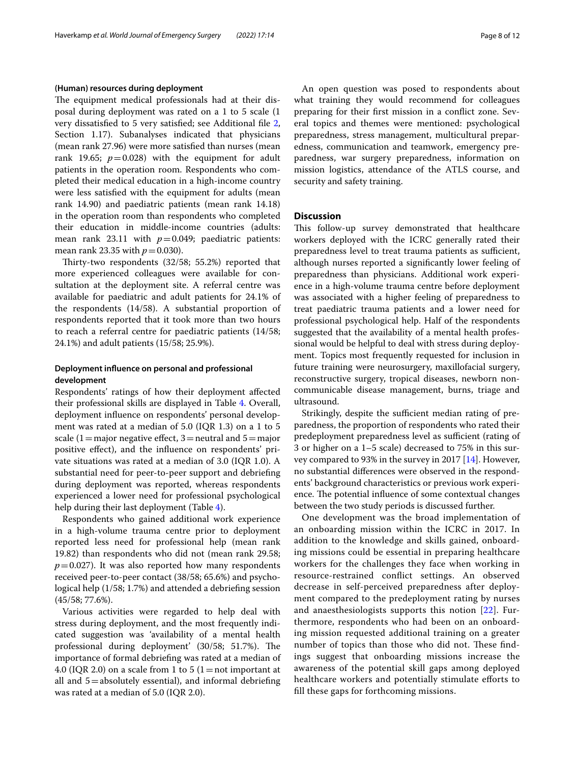#### **(Human) resources during deployment**

The equipment medical professionals had at their disposal during deployment was rated on a 1 to 5 scale (1 very dissatisfed to 5 very satisfed; see Additional fle [2](#page-9-1), Section 1.17). Subanalyses indicated that physicians (mean rank 27.96) were more satisfed than nurses (mean rank 19.65;  $p=0.028$ ) with the equipment for adult patients in the operation room. Respondents who completed their medical education in a high-income country were less satisfed with the equipment for adults (mean rank 14.90) and paediatric patients (mean rank 14.18) in the operation room than respondents who completed their education in middle-income countries (adults: mean rank 23.11 with  $p=0.049$ ; paediatric patients: mean rank 23.35 with *p* = 0.030).

Thirty-two respondents (32/58; 55.2%) reported that more experienced colleagues were available for consultation at the deployment site. A referral centre was available for paediatric and adult patients for 24.1% of the respondents (14/58). A substantial proportion of respondents reported that it took more than two hours to reach a referral centre for paediatric patients (14/58; 24.1%) and adult patients (15/58; 25.9%).

# **Deployment infuence on personal and professional development**

Respondents' ratings of how their deployment afected their professional skills are displayed in Table [4.](#page-6-0) Overall, deployment infuence on respondents' personal development was rated at a median of 5.0 (IQR 1.3) on a 1 to 5 scale (1 = major negative effect, 3 = neutral and  $5$  = major positive efect), and the infuence on respondents' private situations was rated at a median of 3.0 (IQR 1.0). A substantial need for peer-to-peer support and debriefng during deployment was reported, whereas respondents experienced a lower need for professional psychological help during their last deployment (Table [4](#page-6-0)).

Respondents who gained additional work experience in a high-volume trauma centre prior to deployment reported less need for professional help (mean rank 19.82) than respondents who did not (mean rank 29.58;  $p=0.027$ ). It was also reported how many respondents received peer-to-peer contact (38/58; 65.6%) and psychological help (1/58; 1.7%) and attended a debriefng session (45/58; 77.6%).

Various activities were regarded to help deal with stress during deployment, and the most frequently indicated suggestion was 'availability of a mental health professional during deployment' (30/58; 51.7%). The importance of formal debriefng was rated at a median of 4.0 (IQR 2.0) on a scale from 1 to 5 (1 = not important at all and  $5=$ absolutely essential), and informal debriefing was rated at a median of 5.0 (IQR 2.0).

An open question was posed to respondents about what training they would recommend for colleagues preparing for their frst mission in a confict zone. Several topics and themes were mentioned: psychological preparedness, stress management, multicultural preparedness, communication and teamwork, emergency preparedness, war surgery preparedness, information on mission logistics, attendance of the ATLS course, and security and safety training.

# **Discussion**

This follow-up survey demonstrated that healthcare workers deployed with the ICRC generally rated their preparedness level to treat trauma patients as sufficient, although nurses reported a signifcantly lower feeling of preparedness than physicians. Additional work experience in a high-volume trauma centre before deployment was associated with a higher feeling of preparedness to treat paediatric trauma patients and a lower need for professional psychological help. Half of the respondents suggested that the availability of a mental health professional would be helpful to deal with stress during deployment. Topics most frequently requested for inclusion in future training were neurosurgery, maxillofacial surgery, reconstructive surgery, tropical diseases, newborn noncommunicable disease management, burns, triage and ultrasound.

Strikingly, despite the sufficient median rating of preparedness, the proportion of respondents who rated their predeployment preparedness level as sufficient (rating of 3 or higher on a 1–5 scale) decreased to 75% in this survey compared to 93% in the survey in 2017 [[14\]](#page-10-10). However, no substantial diferences were observed in the respondents' background characteristics or previous work experience. The potential influence of some contextual changes between the two study periods is discussed further.

One development was the broad implementation of an onboarding mission within the ICRC in 2017. In addition to the knowledge and skills gained, onboarding missions could be essential in preparing healthcare workers for the challenges they face when working in resource-restrained confict settings. An observed decrease in self-perceived preparedness after deployment compared to the predeployment rating by nurses and anaesthesiologists supports this notion [[22](#page-10-14)]. Furthermore, respondents who had been on an onboarding mission requested additional training on a greater number of topics than those who did not. These findings suggest that onboarding missions increase the awareness of the potential skill gaps among deployed healthcare workers and potentially stimulate eforts to fll these gaps for forthcoming missions.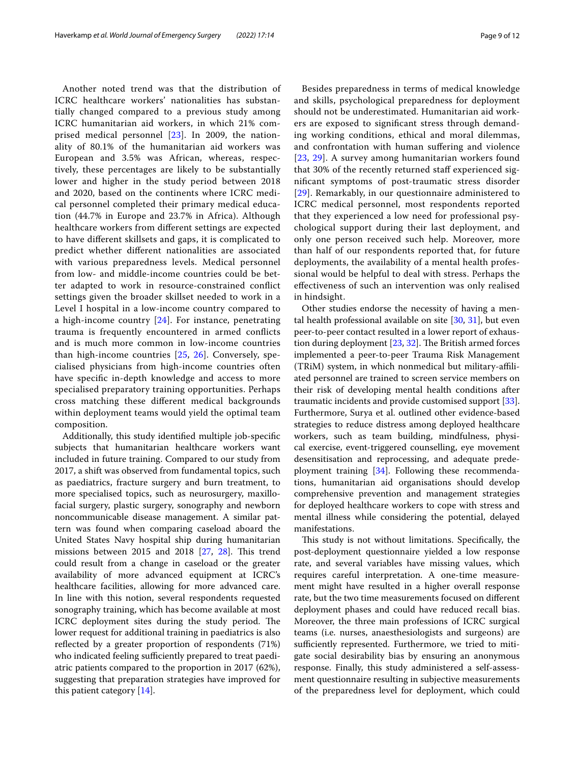Another noted trend was that the distribution of ICRC healthcare workers' nationalities has substantially changed compared to a previous study among ICRC humanitarian aid workers, in which 21% comprised medical personnel [\[23\]](#page-10-15). In 2009, the nationality of 80.1% of the humanitarian aid workers was European and 3.5% was African, whereas, respectively, these percentages are likely to be substantially lower and higher in the study period between 2018 and 2020, based on the continents where ICRC medical personnel completed their primary medical education (44.7% in Europe and 23.7% in Africa). Although healthcare workers from diferent settings are expected to have diferent skillsets and gaps, it is complicated to predict whether diferent nationalities are associated with various preparedness levels. Medical personnel from low- and middle-income countries could be better adapted to work in resource-constrained confict settings given the broader skillset needed to work in a Level I hospital in a low-income country compared to a high-income country [[24\]](#page-10-16). For instance, penetrating trauma is frequently encountered in armed conficts and is much more common in low-income countries than high-income countries [[25](#page-10-17), [26\]](#page-10-18). Conversely, specialised physicians from high-income countries often have specifc in-depth knowledge and access to more specialised preparatory training opportunities. Perhaps cross matching these diferent medical backgrounds within deployment teams would yield the optimal team composition.

Additionally, this study identifed multiple job-specifc subjects that humanitarian healthcare workers want included in future training. Compared to our study from 2017, a shift was observed from fundamental topics, such as paediatrics, fracture surgery and burn treatment, to more specialised topics, such as neurosurgery, maxillofacial surgery, plastic surgery, sonography and newborn noncommunicable disease management. A similar pattern was found when comparing caseload aboard the United States Navy hospital ship during humanitarian missions between  $2015$  and  $2018$   $[27, 28]$  $[27, 28]$  $[27, 28]$  $[27, 28]$ . This trend could result from a change in caseload or the greater availability of more advanced equipment at ICRC's healthcare facilities, allowing for more advanced care. In line with this notion, several respondents requested sonography training, which has become available at most ICRC deployment sites during the study period. The lower request for additional training in paediatrics is also reflected by a greater proportion of respondents (71%) who indicated feeling sufficiently prepared to treat paediatric patients compared to the proportion in 2017 (62%), suggesting that preparation strategies have improved for this patient category [[14](#page-10-10)].

Besides preparedness in terms of medical knowledge and skills, psychological preparedness for deployment should not be underestimated. Humanitarian aid workers are exposed to signifcant stress through demanding working conditions, ethical and moral dilemmas, and confrontation with human sufering and violence [[23](#page-10-15), [29\]](#page-11-0). A survey among humanitarian workers found that 30% of the recently returned staff experienced signifcant symptoms of post-traumatic stress disorder [[29](#page-11-0)]. Remarkably, in our questionnaire administered to ICRC medical personnel, most respondents reported that they experienced a low need for professional psychological support during their last deployment, and only one person received such help. Moreover, more than half of our respondents reported that, for future deployments, the availability of a mental health professional would be helpful to deal with stress. Perhaps the efectiveness of such an intervention was only realised in hindsight.

Other studies endorse the necessity of having a mental health professional available on site  $[30, 31]$  $[30, 31]$  $[30, 31]$  $[30, 31]$ , but even peer-to-peer contact resulted in a lower report of exhaustion during deployment  $[23, 32]$  $[23, 32]$  $[23, 32]$ . The British armed forces implemented a peer-to-peer Trauma Risk Management (TRiM) system, in which nonmedical but military-afliated personnel are trained to screen service members on their risk of developing mental health conditions after traumatic incidents and provide customised support [\[33](#page-11-4)]. Furthermore, Surya et al. outlined other evidence-based strategies to reduce distress among deployed healthcare workers, such as team building, mindfulness, physical exercise, event-triggered counselling, eye movement desensitisation and reprocessing, and adequate predeployment training [\[34](#page-11-5)]. Following these recommendations, humanitarian aid organisations should develop comprehensive prevention and management strategies for deployed healthcare workers to cope with stress and mental illness while considering the potential, delayed manifestations.

This study is not without limitations. Specifically, the post-deployment questionnaire yielded a low response rate, and several variables have missing values, which requires careful interpretation. A one-time measurement might have resulted in a higher overall response rate, but the two time measurements focused on diferent deployment phases and could have reduced recall bias. Moreover, the three main professions of ICRC surgical teams (i.e. nurses, anaesthesiologists and surgeons) are sufficiently represented. Furthermore, we tried to mitigate social desirability bias by ensuring an anonymous response. Finally, this study administered a self-assessment questionnaire resulting in subjective measurements of the preparedness level for deployment, which could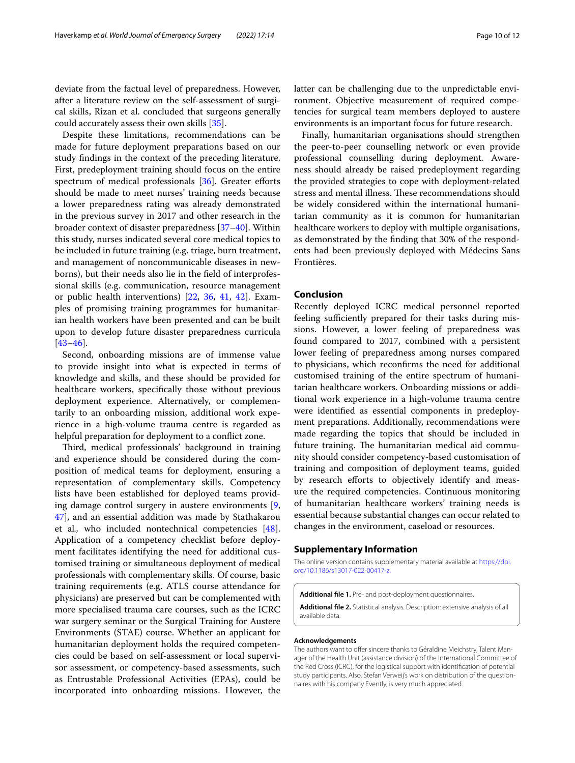deviate from the factual level of preparedness. However, after a literature review on the self-assessment of surgical skills, Rizan et al. concluded that surgeons generally could accurately assess their own skills [\[35](#page-11-6)].

Despite these limitations, recommendations can be made for future deployment preparations based on our study fndings in the context of the preceding literature. First, predeployment training should focus on the entire spectrum of medical professionals  $[36]$  $[36]$ . Greater efforts should be made to meet nurses' training needs because a lower preparedness rating was already demonstrated in the previous survey in 2017 and other research in the broader context of disaster preparedness [\[37](#page-11-8)[–40\]](#page-11-9). Within this study, nurses indicated several core medical topics to be included in future training (e.g. triage, burn treatment, and management of noncommunicable diseases in newborns), but their needs also lie in the feld of interprofessional skills (e.g. communication, resource management or public health interventions) [[22,](#page-10-14) [36](#page-11-7), [41,](#page-11-10) [42](#page-11-11)]. Examples of promising training programmes for humanitarian health workers have been presented and can be built upon to develop future disaster preparedness curricula [[43–](#page-11-12)[46](#page-11-13)].

Second, onboarding missions are of immense value to provide insight into what is expected in terms of knowledge and skills, and these should be provided for healthcare workers, specifcally those without previous deployment experience. Alternatively, or complementarily to an onboarding mission, additional work experience in a high-volume trauma centre is regarded as helpful preparation for deployment to a confict zone.

Third, medical professionals' background in training and experience should be considered during the composition of medical teams for deployment, ensuring a representation of complementary skills. Competency lists have been established for deployed teams providing damage control surgery in austere environments [\[9](#page-10-6), [47\]](#page-11-14), and an essential addition was made by Stathakarou et al*.,* who included nontechnical competencies [\[48](#page-11-15)]. Application of a competency checklist before deployment facilitates identifying the need for additional customised training or simultaneous deployment of medical professionals with complementary skills. Of course, basic training requirements (e.g. ATLS course attendance for physicians) are preserved but can be complemented with more specialised trauma care courses, such as the ICRC war surgery seminar or the Surgical Training for Austere Environments (STAE) course. Whether an applicant for humanitarian deployment holds the required competencies could be based on self-assessment or local supervisor assessment, or competency-based assessments, such as Entrustable Professional Activities (EPAs), could be incorporated into onboarding missions. However, the latter can be challenging due to the unpredictable environment. Objective measurement of required competencies for surgical team members deployed to austere environments is an important focus for future research.

Finally, humanitarian organisations should strengthen the peer-to-peer counselling network or even provide professional counselling during deployment. Awareness should already be raised predeployment regarding the provided strategies to cope with deployment-related stress and mental illness. These recommendations should be widely considered within the international humanitarian community as it is common for humanitarian healthcare workers to deploy with multiple organisations, as demonstrated by the fnding that 30% of the respondents had been previously deployed with Médecins Sans Frontières.

## **Conclusion**

Recently deployed ICRC medical personnel reported feeling sufficiently prepared for their tasks during missions. However, a lower feeling of preparedness was found compared to 2017, combined with a persistent lower feeling of preparedness among nurses compared to physicians, which reconfrms the need for additional customised training of the entire spectrum of humanitarian healthcare workers. Onboarding missions or additional work experience in a high-volume trauma centre were identifed as essential components in predeployment preparations. Additionally, recommendations were made regarding the topics that should be included in future training. The humanitarian medical aid community should consider competency-based customisation of training and composition of deployment teams, guided by research efforts to objectively identify and measure the required competencies. Continuous monitoring of humanitarian healthcare workers' training needs is essential because substantial changes can occur related to changes in the environment, caseload or resources.

#### **Supplementary Information**

The online version contains supplementary material available at [https://doi.](https://doi.org/10.1186/s13017-022-00417-z) [org/10.1186/s13017-022-00417-z.](https://doi.org/10.1186/s13017-022-00417-z)

<span id="page-9-1"></span><span id="page-9-0"></span>**Additional fle 1.** Pre- and post-deployment questionnaires.

**Additional fle 2.** Statistical analysis. Description: extensive analysis of all available data.

#### **Acknowledgements**

The authors want to offer sincere thanks to Géraldine Meichstry, Talent Manager of the Health Unit (assistance division) of the International Committee of the Red Cross (ICRC), for the logistical support with identifcation of potential study participants. Also, Stefan Verweij's work on distribution of the questionnaires with his company Evently, is very much appreciated.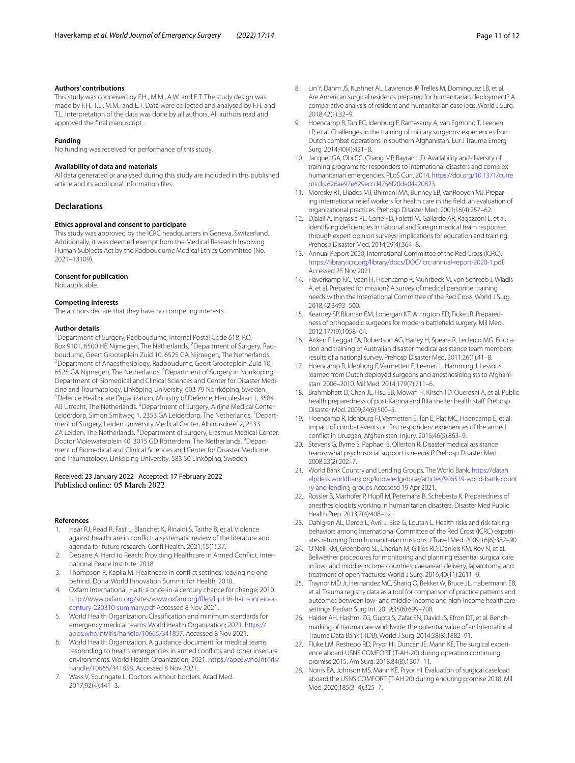## **Authors' contributions**

This study was conceived by F.H., M.M., A.W. and E.T. The study design was made by F.H., T.L., M.M., and E.T. Data were collected and analysed by F.H. and T.L. Interpretation of the data was done by all authors. All authors read and approved the fnal manuscript.

#### **Funding**

No funding was received for performance of this study.

#### **Availability of data and materials**

All data generated or analysed during this study are included in this published article and its additional information fles.

## **Declarations**

# **Ethics approval and consent to participate**

This study was approved by the ICRC headquarters in Geneva, Switzerland. Additionally, it was deemed exempt from the Medical Research Involving Human Subjects Act by the Radboudumc Medical Ethics Committee (No. 2021–13109).

#### **Consent for publication**

Not applicable.

#### **Competing interests**

The authors declare that they have no competing interests.

#### **Author details**

<sup>1</sup> Department of Surgery, Radboudumc, Internal Postal Code 618, P.O. Box 9101, 6500 HB Nijmegen, The Netherlands. <sup>2</sup> Department of Surgery, Radboudumc, Geert Grooteplein Zuid 10, 6525 GA Nijmegen, The Netherlands. 3 <sup>3</sup> Department of Anaesthesiology, Radboudumc, Geert Grooteplein Zuid 10, 6525 GA Nijmegen, The Netherlands. <sup>4</sup>Department of Surgery in Norrköping, Department of Biomedical and Clinical Sciences and Center for Disaster Medicine and Traumatology, Linköping University, 603 79 Norrköping, Sweden. 5 Defence Healthcare Organization, Ministry of Defence, Herculeslaan 1, 3584 AB Utrecht, The Netherlands. <sup>6</sup> Department of Surgery, Alrijne Medical Center Leiderdorp, Simon Smitweg 1, 2353 GA Leiderdorp, The Netherlands. <sup>7</sup>Department of Surgery, Leiden University Medical Center, Albinusdreef 2, 2333 ZA Leiden, The Netherlands. <sup>8</sup>Department of Surgery, Erasmus Medical Center, Doctor Molewaterplein 40, 3015 GD Rotterdam, The Netherlands. <sup>9</sup> Department of Biomedical and Clinical Sciences and Center for Disaster Medicine and Traumatology, Linköping University, 583 30 Linköping, Sweden.

# Received: 23 January 2022 Accepted: 17 February 2022 Published online: 05 March 2022

#### **References**

- <span id="page-10-0"></span>1. Haar RJ, Read R, Fast L, Blanchet K, Rinaldi S, Taithe B, et al. Violence against healthcare in confict: a systematic review of the literature and agenda for future research. Confl Health. 2021;15(1):37.
- 2. Debarre A. Hard to Reach: Providing Healthcare in Armed Confict. International Peace Institute. 2018.
- <span id="page-10-1"></span>3. Thompson R, Kapila M. Healthcare in confict settings: leaving no one behind. Doha: World Innovation Summit for Health; 2018.
- <span id="page-10-2"></span>4. Oxfam International. Haiti: a once-in-a century chance for change; 2010. [http://www.oxfam.org/sites/www.oxfam.org/fles/bp136-haiti-oncein-a](http://www.oxfam.org/sites/www.oxfam.org/files/bp136-haiti-oncein-a-century-220310-summary.pdf)[century-220310-summary.pdf](http://www.oxfam.org/sites/www.oxfam.org/files/bp136-haiti-oncein-a-century-220310-summary.pdf) Accessed 8 Nov 2021.
- <span id="page-10-3"></span>5. World Health Organization. Classifcation and minimum standards for emergency medical teams. World Health Organization; 2021. [https://](https://apps.who.int/iris/handle/10665/341857) [apps.who.int/iris/handle/10665/341857.](https://apps.who.int/iris/handle/10665/341857) Accessed 8 Nov 2021.
- <span id="page-10-4"></span>6. World Health Organization. A guidance document for medical teams responding to health emergencies in armed conficts and other insecure environments. World Health Organization; 2021. [https://apps.who.int/iris/](https://apps.who.int/iris/handle/10665/341858) [handle/10665/341858.](https://apps.who.int/iris/handle/10665/341858) Accessed 8 Nov 2021.
- <span id="page-10-5"></span>Wass V, Southgate L. Doctors without borders. Acad Med. 2017;92(4):441–3.
- 8. Lin Y, Dahm JS, Kushner AL, Lawrence JP, Trelles M, Dominguez LB, et al. Are American surgical residents prepared for humanitarian deployment? A comparative analysis of resident and humanitarian case logs. World J Surg. 2018;42(1):32–9.
- <span id="page-10-6"></span>9. Hoencamp R, Tan EC, Idenburg F, Ramasamy A, van Egmond T, Leenen LP, et al. Challenges in the training of military surgeons: experiences from Dutch combat operations in southern Afghanistan. Eur J Trauma Emerg Surg. 2014;40(4):421–8.
- <span id="page-10-7"></span>10. Jacquet GA, Obi CC, Chang MP, Bayram JD. Availability and diversity of training programs for responders to international disasters and complex humanitarian emergencies. PLoS Curr. 2014. [https://doi.org/10.1371/curre](https://doi.org/10.1371/currents.dis.626ae97e629eccd4756f20de04a20823) [nts.dis.626ae97e629eccd4756f20de04a20823.](https://doi.org/10.1371/currents.dis.626ae97e629eccd4756f20de04a20823)
- 11. Moresky RT, Eliades MJ, Bhimani MA, Bunney EB, VanRooyen MJ. Preparing international relief workers for health care in the feld: an evaluation of organizational practices. Prehosp Disaster Med. 2001;16(4):257–62.
- <span id="page-10-8"></span>12. Djalali A, Ingrassia PL, Corte FD, Foletti M, Gallardo AR, Ragazzoni L, et al. Identifying defciencies in national and foreign medical team responses through expert opinion surveys: implications for education and training. Prehosp Disaster Med. 2014;29(4):364–8.
- <span id="page-10-9"></span>13. Annual Report 2020, International Committee of the Red Cross (ICRC). <https://library.icrc.org/library/docs/DOC/icrc-annual-report-2020-1.pdf>. Accessed 25 Nov 2021.
- <span id="page-10-10"></span>14. Haverkamp FJC, Veen H, Hoencamp R, Muhrbeck M, von Schreeb J, Wladis A, et al. Prepared for mission? A survey of medical personnel training needs within the International Committee of the Red Cross. World J Surg. 2018;42:3493–500.
- <span id="page-10-11"></span>15. Kearney SP, Bluman EM, Lonergan KT, Arrington ED, Ficke JR. Preparedness of orthopaedic surgeons for modern battlefeld surgery. Mil Med. 2012;177(9):1058–64.
- 16. Aitken P, Leggat PA, Robertson AG, Harley H, Speare R, Leclercq MG. Education and training of Australian disaster medical assistance team members: results of a national survey. Prehosp Disaster Med. 2011;26(1):41–8.
- 17. Hoencamp R, Idenburg F, Vermetten E, Leenen L, Hamming J. Lessons learned from Dutch deployed surgeons and anesthesiologists to Afghanistan: 2006–2010. Mil Med. 2014;179(7):711–6.
- 18. Brahmbhatt D, Chan JL, Hsu EB, Mowafi H, Kirsch TD, Quereshi A, et al. Public health preparedness of post-Katrina and Rita shelter health staff. Prehosp Disaster Med. 2009;24(6):500–5.
- 19. Hoencamp R, Idenburg FJ, Vermetten E, Tan E, Plat MC, Hoencamp E, et al. Impact of combat events on frst responders: experiences of the armed confict in Uruzgan, Afghanistan. Injury. 2015;46(5):863–9.
- <span id="page-10-12"></span>20. Stevens G, Byrne S, Raphael B, Ollerton R. Disaster medical assistance teams: what psychosocial support is needed? Prehosp Disaster Med. 2008;23(2):202–7.
- <span id="page-10-13"></span>21. World Bank Country and Lending Groups. The World Bank. [https://datah](https://datahelpdesk.worldbank.org/knowledgebase/articles/906519-world-bank-country-and-lending-groups) [elpdesk.worldbank.org/knowledgebase/articles/906519-world-bank-count](https://datahelpdesk.worldbank.org/knowledgebase/articles/906519-world-bank-country-and-lending-groups) [ry-and-lending-groups](https://datahelpdesk.worldbank.org/knowledgebase/articles/906519-world-bank-country-and-lending-groups) Accesesd 19 Apr 2021.
- <span id="page-10-14"></span>22. Rossler B, Marhofer P, Hupfl M, Peterhans B, Schebesta K. Preparedness of anesthesiologists working in humanitarian disasters. Disaster Med Public Health Prep. 2013;7(4):408–12.
- <span id="page-10-15"></span>23. Dahlgren AL, Deroo L, Avril J, Bise G, Loutan L. Health risks and risk-taking behaviors among International Committee of the Red Cross (ICRC) expatriates returning from humanitarian missions. J Travel Med. 2009;16(6):382–90.
- <span id="page-10-16"></span>24. O'Neill KM, Greenberg SL, Cherian M, Gillies RD, Daniels KM, Roy N, et al. Bellwether procedures for monitoring and planning essential surgical care in low- and middle-income countries: caesarean delivery, laparotomy, and treatment of open fractures. World J Surg. 2016;40(11):2611–9.
- <span id="page-10-17"></span>25. Traynor MD Jr, Hernandez MC, Shariq O, Bekker W, Bruce JL, Habermann EB, et al. Trauma registry data as a tool for comparison of practice patterns and outcomes between low- and middle-income and high-income healthcare settings. Pediatr Surg Int. 2019;35(6):699–708.
- <span id="page-10-18"></span>26. Haider AH, Hashmi ZG, Gupta S, Zafar SN, David JS, Efron DT, et al. Benchmarking of trauma care worldwide: the potential value of an International Trauma Data Bank (ITDB). World J Surg. 2014;38(8):1882–91.
- <span id="page-10-19"></span>27. Fluke LM, Restrepo RD, Pryor HI, Duncan JE, Mann KE. The surgical experience aboard USNS COMFORT (T-AH-20) during operation continuing promise 2015. Am Surg. 2018;84(8):1307–11.
- <span id="page-10-20"></span>28. Norris EA, Johnson MS, Mann KE, Pryor HI. Evaluation of surgical caseload aboard the USNS COMFORT (T-AH 20) during enduring promise 2018. Mil Med. 2020;185(3–4):325–7.